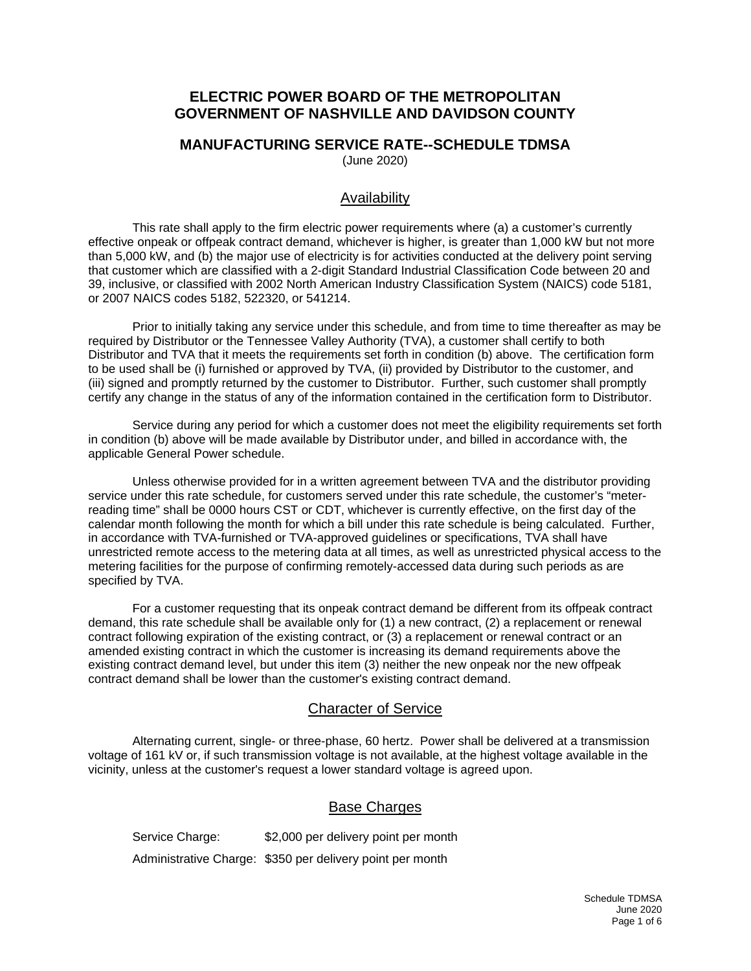## **ELECTRIC POWER BOARD OF THE METROPOLITAN GOVERNMENT OF NASHVILLE AND DAVIDSON COUNTY**

#### **MANUFACTURING SERVICE RATE--SCHEDULE TDMSA**  (June 2020)

### Availability

This rate shall apply to the firm electric power requirements where (a) a customer's currently effective onpeak or offpeak contract demand, whichever is higher, is greater than 1,000 kW but not more than 5,000 kW, and (b) the major use of electricity is for activities conducted at the delivery point serving that customer which are classified with a 2-digit Standard Industrial Classification Code between 20 and 39, inclusive, or classified with 2002 North American Industry Classification System (NAICS) code 5181, or 2007 NAICS codes 5182, 522320, or 541214.

Prior to initially taking any service under this schedule, and from time to time thereafter as may be required by Distributor or the Tennessee Valley Authority (TVA), a customer shall certify to both Distributor and TVA that it meets the requirements set forth in condition (b) above. The certification form to be used shall be (i) furnished or approved by TVA, (ii) provided by Distributor to the customer, and (iii) signed and promptly returned by the customer to Distributor. Further, such customer shall promptly certify any change in the status of any of the information contained in the certification form to Distributor.

Service during any period for which a customer does not meet the eligibility requirements set forth in condition (b) above will be made available by Distributor under, and billed in accordance with, the applicable General Power schedule.

Unless otherwise provided for in a written agreement between TVA and the distributor providing service under this rate schedule, for customers served under this rate schedule, the customer's "meterreading time" shall be 0000 hours CST or CDT, whichever is currently effective, on the first day of the calendar month following the month for which a bill under this rate schedule is being calculated. Further, in accordance with TVA-furnished or TVA-approved guidelines or specifications, TVA shall have unrestricted remote access to the metering data at all times, as well as unrestricted physical access to the metering facilities for the purpose of confirming remotely-accessed data during such periods as are specified by TVA.

For a customer requesting that its onpeak contract demand be different from its offpeak contract demand, this rate schedule shall be available only for (1) a new contract, (2) a replacement or renewal contract following expiration of the existing contract, or (3) a replacement or renewal contract or an amended existing contract in which the customer is increasing its demand requirements above the existing contract demand level, but under this item (3) neither the new onpeak nor the new offpeak contract demand shall be lower than the customer's existing contract demand.

# Character of Service

Alternating current, single- or three-phase, 60 hertz. Power shall be delivered at a transmission voltage of 161 kV or, if such transmission voltage is not available, at the highest voltage available in the vicinity, unless at the customer's request a lower standard voltage is agreed upon.

### Base Charges

Service Charge: \$2,000 per delivery point per month Administrative Charge: \$350 per delivery point per month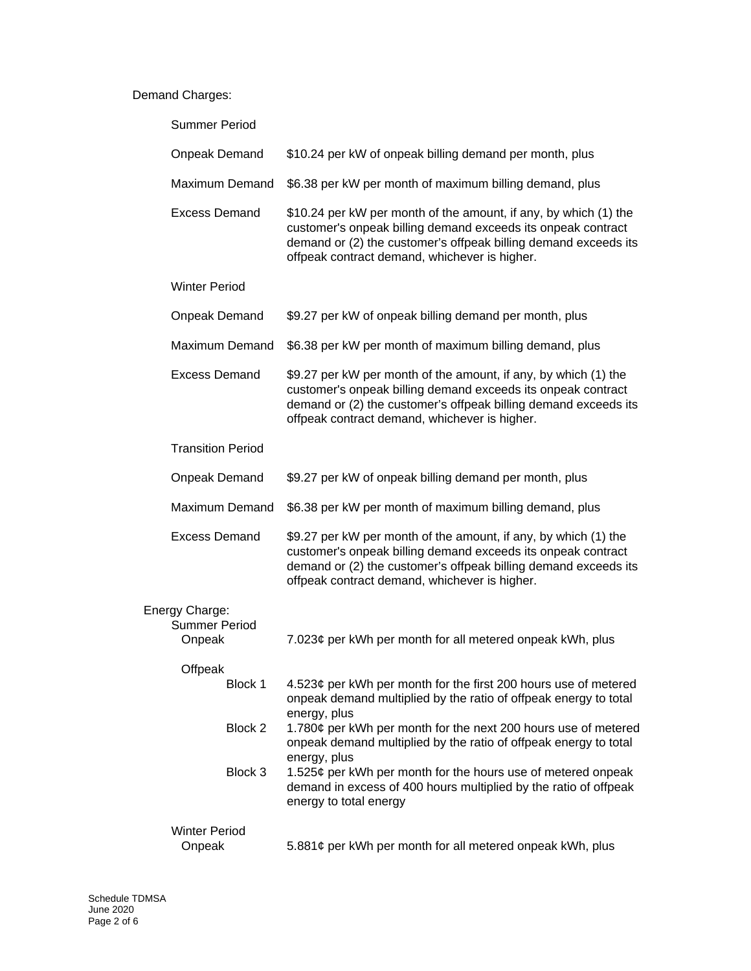#### Demand Charges:

| <b>Summer Period</b>                             |                                                                                                                                                                                                                                                      |
|--------------------------------------------------|------------------------------------------------------------------------------------------------------------------------------------------------------------------------------------------------------------------------------------------------------|
| Onpeak Demand                                    | \$10.24 per kW of onpeak billing demand per month, plus                                                                                                                                                                                              |
| <b>Maximum Demand</b>                            | \$6.38 per kW per month of maximum billing demand, plus                                                                                                                                                                                              |
| <b>Excess Demand</b>                             | \$10.24 per kW per month of the amount, if any, by which (1) the<br>customer's onpeak billing demand exceeds its onpeak contract<br>demand or (2) the customer's offpeak billing demand exceeds its<br>offpeak contract demand, whichever is higher. |
| <b>Winter Period</b>                             |                                                                                                                                                                                                                                                      |
| <b>Onpeak Demand</b>                             | \$9.27 per kW of onpeak billing demand per month, plus                                                                                                                                                                                               |
| Maximum Demand                                   | \$6.38 per kW per month of maximum billing demand, plus                                                                                                                                                                                              |
| <b>Excess Demand</b>                             | \$9.27 per kW per month of the amount, if any, by which (1) the<br>customer's onpeak billing demand exceeds its onpeak contract<br>demand or (2) the customer's offpeak billing demand exceeds its<br>offpeak contract demand, whichever is higher.  |
| <b>Transition Period</b>                         |                                                                                                                                                                                                                                                      |
| <b>Onpeak Demand</b>                             | \$9.27 per kW of onpeak billing demand per month, plus                                                                                                                                                                                               |
| <b>Maximum Demand</b>                            | \$6.38 per kW per month of maximum billing demand, plus                                                                                                                                                                                              |
| <b>Excess Demand</b>                             | \$9.27 per kW per month of the amount, if any, by which (1) the<br>customer's onpeak billing demand exceeds its onpeak contract<br>demand or (2) the customer's offpeak billing demand exceeds its<br>offpeak contract demand, whichever is higher.  |
| Energy Charge:<br><b>Summer Period</b><br>Onpeak | 7.023¢ per kWh per month for all metered onpeak kWh, plus                                                                                                                                                                                            |
| Offpeak                                          |                                                                                                                                                                                                                                                      |
| Block 1                                          | 4.523¢ per kWh per month for the first 200 hours use of metered<br>onpeak demand multiplied by the ratio of offpeak energy to total<br>energy, plus                                                                                                  |
| Block 2                                          | 1.780¢ per kWh per month for the next 200 hours use of metered<br>onpeak demand multiplied by the ratio of offpeak energy to total<br>energy, plus                                                                                                   |
| Block 3                                          | 1.525¢ per kWh per month for the hours use of metered onpeak<br>demand in excess of 400 hours multiplied by the ratio of offpeak<br>energy to total energy                                                                                           |
| <b>Winter Period</b><br>Onpeak                   | 5.881¢ per kWh per month for all metered onpeak kWh, plus                                                                                                                                                                                            |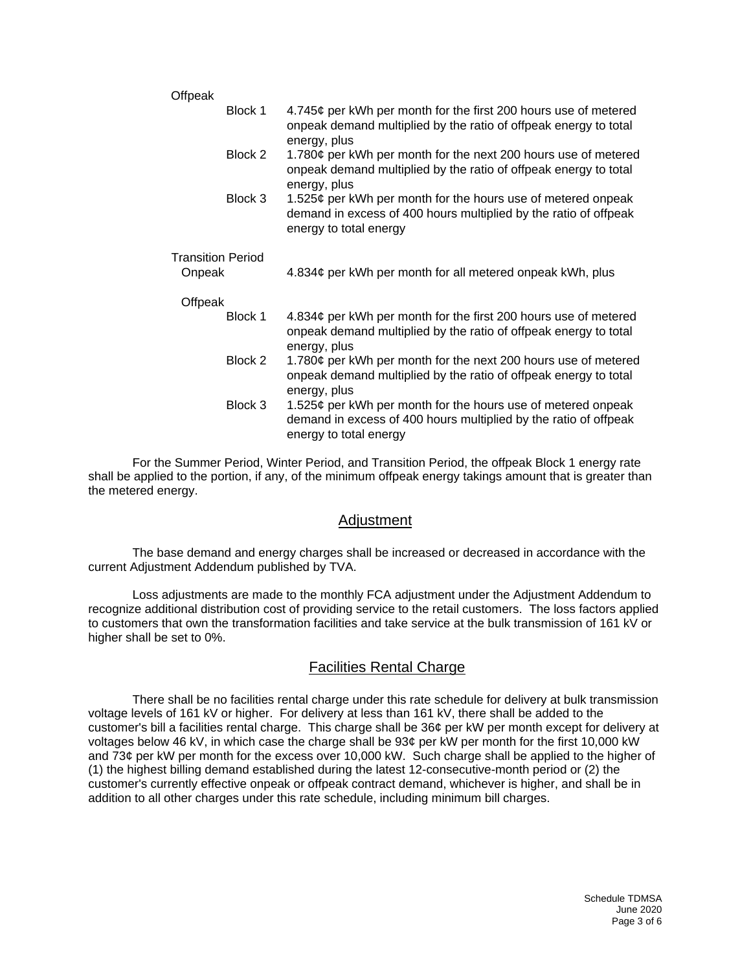| Offpeak                  |         |                                                                                                                                                            |
|--------------------------|---------|------------------------------------------------------------------------------------------------------------------------------------------------------------|
|                          | Block 1 | 4.745¢ per kWh per month for the first 200 hours use of metered<br>onpeak demand multiplied by the ratio of offpeak energy to total<br>energy, plus        |
|                          | Block 2 | 1.780¢ per kWh per month for the next 200 hours use of metered<br>onpeak demand multiplied by the ratio of offpeak energy to total<br>energy, plus         |
|                          | Block 3 | 1.525¢ per kWh per month for the hours use of metered onpeak<br>demand in excess of 400 hours multiplied by the ratio of offpeak<br>energy to total energy |
| <b>Transition Period</b> |         |                                                                                                                                                            |
| Onpeak                   |         | 4.834¢ per kWh per month for all metered onpeak kWh, plus                                                                                                  |
| Offpeak                  |         |                                                                                                                                                            |
|                          | Block 1 | 4.834¢ per kWh per month for the first 200 hours use of metered<br>onpeak demand multiplied by the ratio of offpeak energy to total<br>energy, plus        |
|                          | Block 2 | 1.780¢ per kWh per month for the next 200 hours use of metered<br>onpeak demand multiplied by the ratio of offpeak energy to total<br>energy, plus         |
|                          | Block 3 | 1.525¢ per kWh per month for the hours use of metered onpeak<br>demand in excess of 400 hours multiplied by the ratio of offpeak<br>energy to total energy |

For the Summer Period, Winter Period, and Transition Period, the offpeak Block 1 energy rate shall be applied to the portion, if any, of the minimum offpeak energy takings amount that is greater than the metered energy.

### Adjustment

The base demand and energy charges shall be increased or decreased in accordance with the current Adjustment Addendum published by TVA.

Loss adjustments are made to the monthly FCA adjustment under the Adjustment Addendum to recognize additional distribution cost of providing service to the retail customers. The loss factors applied to customers that own the transformation facilities and take service at the bulk transmission of 161 kV or higher shall be set to 0%.

### Facilities Rental Charge

There shall be no facilities rental charge under this rate schedule for delivery at bulk transmission voltage levels of 161 kV or higher. For delivery at less than 161 kV, there shall be added to the customer's bill a facilities rental charge. This charge shall be 36¢ per kW per month except for delivery at voltages below 46 kV, in which case the charge shall be 93¢ per kW per month for the first 10,000 kW and 73¢ per kW per month for the excess over 10,000 kW. Such charge shall be applied to the higher of (1) the highest billing demand established during the latest 12-consecutive-month period or (2) the customer's currently effective onpeak or offpeak contract demand, whichever is higher, and shall be in addition to all other charges under this rate schedule, including minimum bill charges.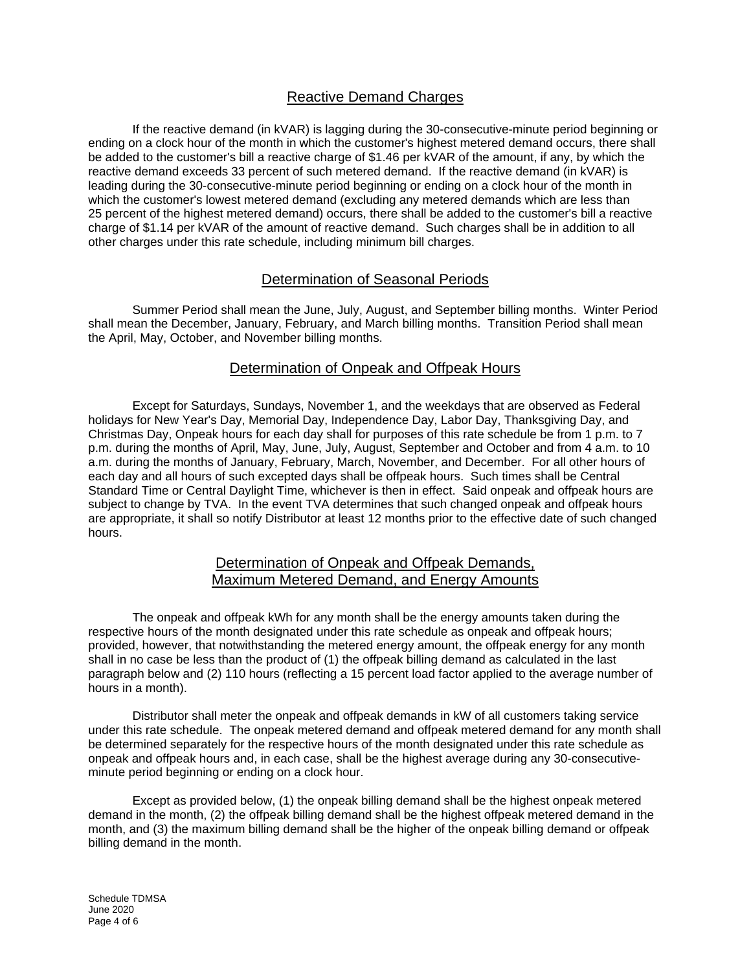# Reactive Demand Charges

If the reactive demand (in kVAR) is lagging during the 30-consecutive-minute period beginning or ending on a clock hour of the month in which the customer's highest metered demand occurs, there shall be added to the customer's bill a reactive charge of \$1.46 per kVAR of the amount, if any, by which the reactive demand exceeds 33 percent of such metered demand. If the reactive demand (in kVAR) is leading during the 30-consecutive-minute period beginning or ending on a clock hour of the month in which the customer's lowest metered demand (excluding any metered demands which are less than 25 percent of the highest metered demand) occurs, there shall be added to the customer's bill a reactive charge of \$1.14 per kVAR of the amount of reactive demand. Such charges shall be in addition to all other charges under this rate schedule, including minimum bill charges.

## Determination of Seasonal Periods

Summer Period shall mean the June, July, August, and September billing months. Winter Period shall mean the December, January, February, and March billing months. Transition Period shall mean the April, May, October, and November billing months.

### Determination of Onpeak and Offpeak Hours

Except for Saturdays, Sundays, November 1, and the weekdays that are observed as Federal holidays for New Year's Day, Memorial Day, Independence Day, Labor Day, Thanksgiving Day, and Christmas Day, Onpeak hours for each day shall for purposes of this rate schedule be from 1 p.m. to 7 p.m. during the months of April, May, June, July, August, September and October and from 4 a.m. to 10 a.m. during the months of January, February, March, November, and December. For all other hours of each day and all hours of such excepted days shall be offpeak hours. Such times shall be Central Standard Time or Central Daylight Time, whichever is then in effect. Said onpeak and offpeak hours are subject to change by TVA. In the event TVA determines that such changed onpeak and offpeak hours are appropriate, it shall so notify Distributor at least 12 months prior to the effective date of such changed hours.

### Determination of Onpeak and Offpeak Demands, Maximum Metered Demand, and Energy Amounts

The onpeak and offpeak kWh for any month shall be the energy amounts taken during the respective hours of the month designated under this rate schedule as onpeak and offpeak hours; provided, however, that notwithstanding the metered energy amount, the offpeak energy for any month shall in no case be less than the product of (1) the offpeak billing demand as calculated in the last paragraph below and (2) 110 hours (reflecting a 15 percent load factor applied to the average number of hours in a month).

Distributor shall meter the onpeak and offpeak demands in kW of all customers taking service under this rate schedule. The onpeak metered demand and offpeak metered demand for any month shall be determined separately for the respective hours of the month designated under this rate schedule as onpeak and offpeak hours and, in each case, shall be the highest average during any 30-consecutiveminute period beginning or ending on a clock hour.

Except as provided below, (1) the onpeak billing demand shall be the highest onpeak metered demand in the month, (2) the offpeak billing demand shall be the highest offpeak metered demand in the month, and (3) the maximum billing demand shall be the higher of the onpeak billing demand or offpeak billing demand in the month.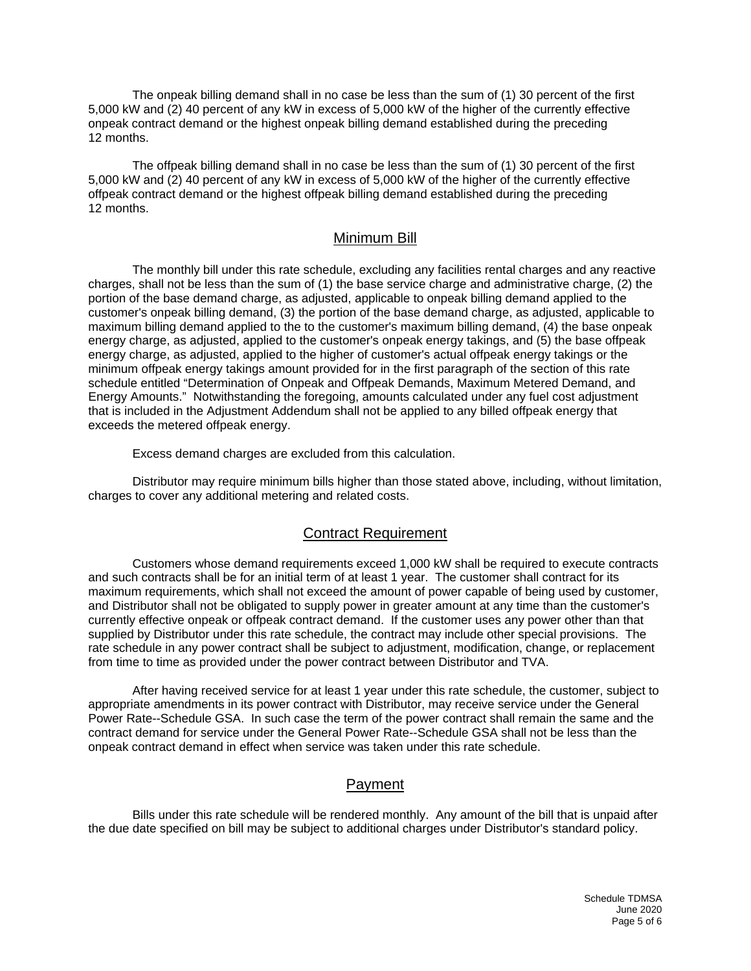The onpeak billing demand shall in no case be less than the sum of (1) 30 percent of the first 5,000 kW and (2) 40 percent of any kW in excess of 5,000 kW of the higher of the currently effective onpeak contract demand or the highest onpeak billing demand established during the preceding 12 months.

The offpeak billing demand shall in no case be less than the sum of (1) 30 percent of the first 5,000 kW and (2) 40 percent of any kW in excess of 5,000 kW of the higher of the currently effective offpeak contract demand or the highest offpeak billing demand established during the preceding 12 months.

### Minimum Bill

The monthly bill under this rate schedule, excluding any facilities rental charges and any reactive charges, shall not be less than the sum of (1) the base service charge and administrative charge, (2) the portion of the base demand charge, as adjusted, applicable to onpeak billing demand applied to the customer's onpeak billing demand, (3) the portion of the base demand charge, as adjusted, applicable to maximum billing demand applied to the to the customer's maximum billing demand, (4) the base onpeak energy charge, as adjusted, applied to the customer's onpeak energy takings, and (5) the base offpeak energy charge, as adjusted, applied to the higher of customer's actual offpeak energy takings or the minimum offpeak energy takings amount provided for in the first paragraph of the section of this rate schedule entitled "Determination of Onpeak and Offpeak Demands, Maximum Metered Demand, and Energy Amounts." Notwithstanding the foregoing, amounts calculated under any fuel cost adjustment that is included in the Adjustment Addendum shall not be applied to any billed offpeak energy that exceeds the metered offpeak energy.

Excess demand charges are excluded from this calculation.

Distributor may require minimum bills higher than those stated above, including, without limitation, charges to cover any additional metering and related costs.

#### Contract Requirement

Customers whose demand requirements exceed 1,000 kW shall be required to execute contracts and such contracts shall be for an initial term of at least 1 year. The customer shall contract for its maximum requirements, which shall not exceed the amount of power capable of being used by customer, and Distributor shall not be obligated to supply power in greater amount at any time than the customer's currently effective onpeak or offpeak contract demand. If the customer uses any power other than that supplied by Distributor under this rate schedule, the contract may include other special provisions. The rate schedule in any power contract shall be subject to adjustment, modification, change, or replacement from time to time as provided under the power contract between Distributor and TVA.

After having received service for at least 1 year under this rate schedule, the customer, subject to appropriate amendments in its power contract with Distributor, may receive service under the General Power Rate--Schedule GSA. In such case the term of the power contract shall remain the same and the contract demand for service under the General Power Rate--Schedule GSA shall not be less than the onpeak contract demand in effect when service was taken under this rate schedule.

# Payment

Bills under this rate schedule will be rendered monthly. Any amount of the bill that is unpaid after the due date specified on bill may be subject to additional charges under Distributor's standard policy.